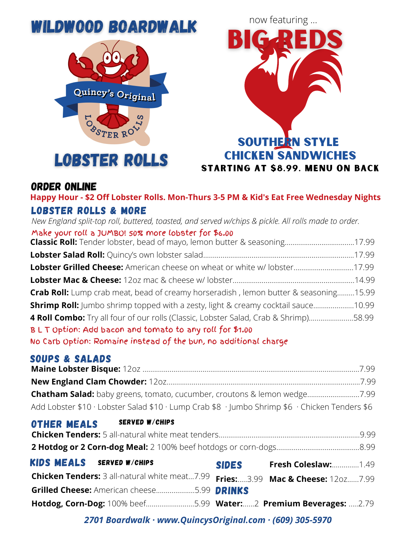# WILDWOOD BOARDWALK





### Order [Online](https://order.tapmango.com/merchant/df76041d-6c78-4df4-8471-ac1b3331d8ce/order/location)

LOBSTER ROLLS & MORE **Happy Hour - \$2 Off Lobster Rolls. Mon-Thurs 3-5 PM & Kid's Eat Free Wednesday Nights**

**Classic Roll:** Tender lobster, bead of mayo, lemon butter & seasoning....................................17.99 **Lobster Salad Roll:** Quincy's own lobster salad..............................................................................17.99 **Lobster Grilled Cheese:** American cheese on wheat or white w/ lobster...............................17.99 **Lobster Mac & Cheese:** 12oz mac & cheese w/ lobster...............................................................14.99 **Crab Roll:** Lump crab meat, bead of creamy horseradish , lemon butter & seasoning.........15.99 **Shrimp Roll:** Jumbo shrimp topped with a zesty, light & creamy cocktail sauce.....................10.99 **4 Roll Combo:** Try all four of our rolls (Classic, Lobster Salad, Crab & Shrimp).......................58.99 B L T Option: Add bacon and tomato to any roll for \$1.00 *New England split-top roll, buttered, toasted, and served w/chips & pickle. All rolls made to order.* Make your roll a JUMBO! 50% more lobster for \$6.00

No Carb Option: Romaine instead of the bun, no additional charge

## SOUPS & SALADS

| Add Lobster \$10 · Lobster Salad \$10 · Lump Crab \$8 · Jumbo Shrimp \$6 · Chicken Tenders \$6 |  |
|------------------------------------------------------------------------------------------------|--|

#### OTHER MEALS SERVED W/CHIPS

| <b>KIDS MEALS</b> SERVED W/CHIPS                                                | <b>SIDES</b> | <b>Fresh Coleslaw:</b> 1.49 |
|---------------------------------------------------------------------------------|--------------|-----------------------------|
| Chicken Tenders: 3 all-natural white meat7.99 Fries:3.99 Mac & Cheese: 12oz7.99 |              |                             |
| <b>Grilled Cheese: American cheese5.99 DRINKS</b>                               |              |                             |
| Hotdog, Corn-Dog: 100% beef5.99 Water:2 Premium Beverages: 2.79                 |              |                             |

*2701 Boardwalk · www.QuincysOriginal.com · (609) 305-5970*